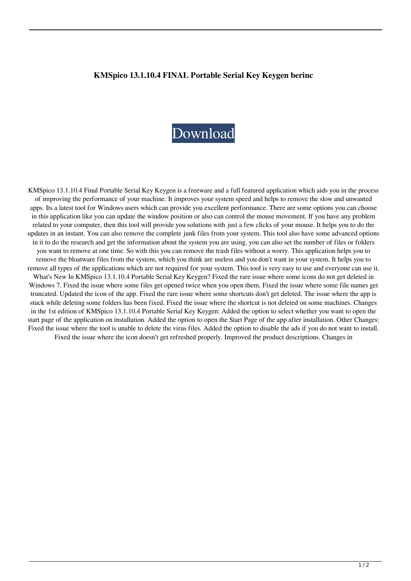## **KMSpico 13.1.10.4 FINAL Portable Serial Key Keygen berinc**

## [Download](http://evacdir.com/.ZG93bmxvYWR8S1gwTW5neU1YeDhNVFkxTWpRMk16QTFNSHg4TWpVM05IeDhLRTBwSUhKbFlXUXRZbXh2WnlCYlJtRnpkQ0JIUlU1ZA.mabry?curragh=impersonate&S01TcGljbyAxMy4xLjEwLjQgRklOQUwgUG9ydGFibGUgU2VyaWFsIEtleSBLZXlnZW4S01=jealously)

KMSpico 13.1.10.4 Final Portable Serial Key Keygen is a freeware and a full featured application which aids you in the process of improving the performance of your machine. It improves your system speed and helps to remove the slow and unwanted apps. Its a latest tool for Windows users which can provide you excellent performance. There are some options you can choose in this application like you can update the window position or also can control the mouse movement. If you have any problem related to your computer, then this tool will provide you solutions with just a few clicks of your mouse. It helps you to do the updates in an instant. You can also remove the complete junk files from your system. This tool also have some advanced options in it to do the research and get the information about the system you are using. you can also set the number of files or folders you want to remove at one time. So with this you can remove the trash files without a worry. This application helps you to remove the bloatware files from the system, which you think are useless and you don't want in your system. It helps you to remove all types of the applications which are not required for your system. This tool is very easy to use and everyone can use it. What's New In KMSpico 13.1.10.4 Portable Serial Key Keygen? Fixed the rare issue where some icons do not get deleted in Windows 7. Fixed the issue where some files get opened twice when you open them. Fixed the issue where some file names get truncated. Updated the icon of the app. Fixed the rare issue where some shortcuts don't get deleted. The issue where the app is stuck while deleting some folders has been fixed. Fixed the issue where the shortcut is not deleted on some machines. Changes in the 1st edition of KMSpico 13.1.10.4 Portable Serial Key Keygen: Added the option to select whether you want to open the start page of the application on installation. Added the option to open the Start Page of the app after installation. Other Changes: Fixed the issue where the tool is unable to delete the virus files. Added the option to disable the ads if you do not want to install. Fixed the issue where the icon doesn't get refreshed properly. Improved the product descriptions. Changes in